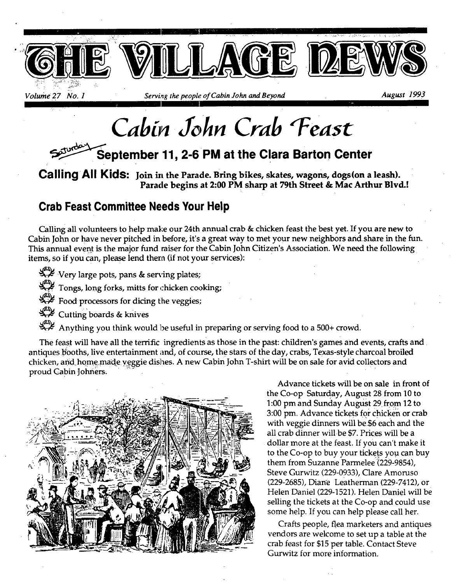

*~\*" L I \** 

*Volume 27 No. 1* Serving the people of Cabin John and Beyond August 1993

# *Cab& .3ohn Crab "Feast*

### September 11, 2-6 PM at the Clara Barton Center

**Calling All Kids:** Join in the Parade. Bring bikes, skates, wagons, dogs(on a leash). **Parade begins at 2:00 PM sharp at 79th Street & Mac Arthur Blvd.!** 

### **Crab Feast Committee Needs Your Help**

Calling all volunteers to help make our 24th annual crab & chicken feast the best yet. If you are new to Cabin John or have never pitched in before, it's a great way to met your new neighbors and share in the fun. This annual event is the major fund raiser for the Cabin John Citizen's Association. We need the following items, so if you can, please lend there (if not your services):

Very large pots, pans & serving plates;

Tongs, long forks, mitts for chicken cooking;

 $\mathcal{L}$  Food processors for dicing the veggies;

Cutting boards & knives

Anything you think would be useful in preparing or serving food to a 500+ crowd.

The feast will have all the terrific ingredients as those in the past: children's games and events, crafts and antiques booths, live entertainment and, of course, the stars of the day, crabs, Texas-style charcoal broiled chicken, and home made veggie dishes. A new Cabin John T-shirt will be on sale for avid collectors and proud Cabin Johners;



Advance tickets will be on sale in front of the Co-op Saturday, August 28 from 10 to 1:00 pm and Sunday August 29 from 12 to 3:00 pm. Advance tickets for chicken or crab with veggie dinners will be \$6 each and the all crab dinner will be \$7. Prices will be a dollar more at the feast. If you can't make it to the Co-op to buy your tickets you can buy them from Suzanne Parmelee (229-9854), Steve Gurwitz (229-0933), Clare Amoruso (229-2685), Diane Leatherman (229-7412), or Helen Daniel (229-1521). Helen Daniel will be selling the tickets at the Co-op and could use some help. If you can help please call her.

Crafts people, flea marketers and antiques vendors are welcome to set up a table at the crab feast for \$15 per table. Contact Steve Gurwitz for more information.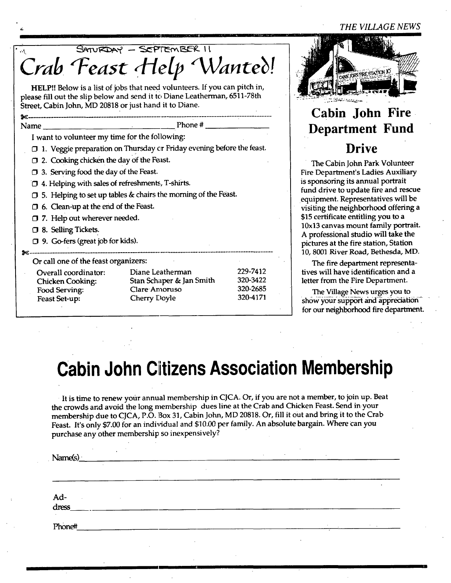#### *THE VILLAGE NEWS*

| SATURDAY - SEPTEMBER II<br>$\mathcal{L}_{\mathcal{A}}$                                                                              |  |  |  |  |  |
|-------------------------------------------------------------------------------------------------------------------------------------|--|--|--|--|--|
| Crab Feast Help Wanted!                                                                                                             |  |  |  |  |  |
|                                                                                                                                     |  |  |  |  |  |
| HELP!! Below is a list of jobs that need volunteers. If you can pitch in,                                                           |  |  |  |  |  |
| please fill out the slip below and send it to Diane Leatherman, 6511-78th<br>Street, Cabin John, MD 20818 or just hand it to Diane. |  |  |  |  |  |
|                                                                                                                                     |  |  |  |  |  |
| Name                                                                                                                                |  |  |  |  |  |
| I want to volunteer my time for the following:                                                                                      |  |  |  |  |  |
| $\square$ 1. Veggie preparation on Thursday or Friday evening before the feast.                                                     |  |  |  |  |  |
| 2. Cooking chicken the day of the Feast.                                                                                            |  |  |  |  |  |
| $\Box$ 3. Serving food the day of the Feast.                                                                                        |  |  |  |  |  |
| 1 4. Helping with sales of refreshments, T-shirts.                                                                                  |  |  |  |  |  |
| 5. Helping to set up tables & chairs the morning of the Feast.                                                                      |  |  |  |  |  |
| $\Box$ 6. Clean-up at the end of the Feast.                                                                                         |  |  |  |  |  |
| 7. Help out wherever needed.                                                                                                        |  |  |  |  |  |
| <b>13. Selling Tickets.</b>                                                                                                         |  |  |  |  |  |
| □ 9. Go-fers (great job for kids).                                                                                                  |  |  |  |  |  |
|                                                                                                                                     |  |  |  |  |  |
| Or call one of the feast organizers:                                                                                                |  |  |  |  |  |
| 229-7412<br>Diane Leatherman<br>Overall coordinator:<br>320-3422                                                                    |  |  |  |  |  |
| Stan Schaper & Jan Smith<br><b>Chicken Cooking:</b><br>320-2685<br>Clare Amoruso<br>Food Serving:                                   |  |  |  |  |  |
| 320-4171<br>Cherry Doyle<br>Feast Set-up:                                                                                           |  |  |  |  |  |



### **Cabin John Fire. Department Fund Drive**

The Cabin John Park Volunteer Fire Department's Ladies Auxiliary is sponsoring its annual portrait fund drive to update fire and rescue equipment. Representatives will be visiting the neighborhood offering a \$15 certificate entitling you to a 10x13 canvas mount family portrait. A professional studio will take the pictures at the fire station, Station 10, 8001 River Road, Bethesda, MD.

The fire department representafives will have identification and a letter from the Fire Department.

The Village News urges you to  $-$  show your support and appreciation for our neighborhood fire department.

## **Cabin John Citizens Association Membership**

It is time to renew your annual membership in CJCA. Or, if you are not a member, to join up. Beat the crowds and avoid the long membership dues line at the Crab and Chicken Feast. Send inyour membership due to CJCA, P.O. Box 31, Cabin John, MD 20818. Or, fill it out and bring it to the Crab Feast. It's only \$7.00 for an individual and \$10.00 per family. An absolute bargain. Where can you purchase any other membership so inexpensively?

| $\sim$<br>Name(s) | $\sim$  | <b>Contract Contract</b><br>$\sim$ | $\sim$ |        |                            |
|-------------------|---------|------------------------------------|--------|--------|----------------------------|
| $\sim$            | $\cdot$ |                                    |        |        |                            |
| Ad-<br>dress_     |         |                                    |        |        |                            |
| Phone#            |         |                                    |        | $\sim$ | and the control of the car |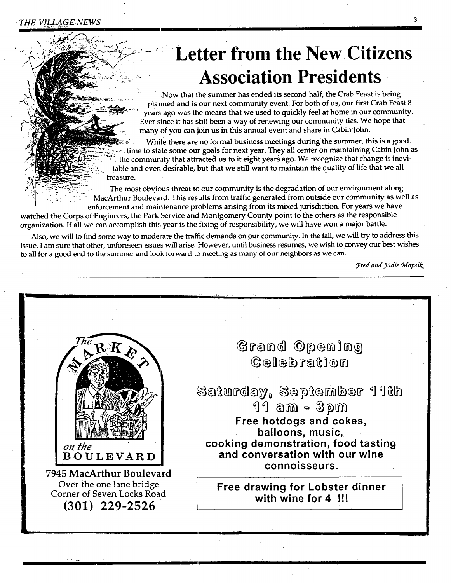# **Letter from the New Citizens Association Presidents**

Now that the summer has ended its second half, the Crab Feast is being lanned and is our next community event. For both of us, our first Crab Feast 8 ars ago was the means that we used to quickly feel at home in our community. Ever since it has still been a way of renewing our community ties. We hope that many of you can join us in this annual event and share in Cabin John.

While there are no formal business meetings during the summer, this is a good. time to state some our goals for next year. They all center on maintaining Cabin John as the community that attracted us to it eight years ago. We recognize that change is inevitable and even desirable, but that we still want to maintain the quality of life that we all treasure.

The most obvious threat to our community is the degradation of our environment along MacArthur Boulevard. This results from traffic generated from outside our community as well as enforcement and maintenance problems arising from its mixed jurisdiction. For years we have

watched the Corps of Engineers, the Park Service and Montgomery County point to the others as the responsible organization. If all we can accomplish this year is the fixing of responsibility, we will have won a major battle.

Also, we will to find some way to moderate the traffic demands on our community. In the fall, we will try to address this issue. I am sure that other, unforeseen issues will arise. However, until business resumes, we wish to convey our best wishes to all for a good end to the summer and look forward to meeting as many of our neighbors as we can.

*Fred and yudie Mopsik* 

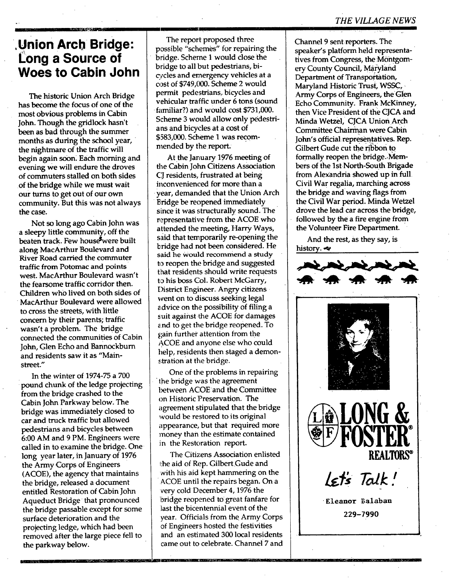### **,Union Arch Bridge: Long a Source of Woes to Cabin John**

The historic Union Arch Bridge has become the focus of one of the most obvious problems in Cabin John. Though the gridlock hasn't been as bad through the summer months as during the school year, the nightmare of the traffic will begin again soon. Each morning and evening we will endure the droves of commuters stalled on both sides of the bridge while we must wait our turns to get out of our own community. But this was not always the case.

Not so long ago Cabin John was a sleepy little community, off the beaten track. Few house were built along MacArthur Boulevard and River Road carried the commuter traffic from Potomac and points ~ west. MacArthur Boulevard wasn't the fearsome traffic corridor then. Children who lived on both sides of MacArthur Boulevard were allowed to cross the Streets, with little concern by their parents; traffic wasn't a problem. The bridge connected the communities of Cabin John, Glen Echo and Bannockburn and residents saw it as "Mainstreet."

In the winter of 1974-75 a 700 pound chunk of the ledge projecting from the bridge crashed to the Cabin John Parkway below. The bridge was immediately closed to car and truck traffic but allowed pedestrians and bicycles between 6:00 AM and 9 PM. Engineers were called in to examine the bridge. One long year later, in January of 1976 the Army Corps of Engineers (ACOE), the agency that maintains the bridge, released a document entitled Restoration of Cabin John Aqueduct Bridge that pronounced the bridge passable except for some surface deterioration and the projecting ledge, which had been removed after the large piece fell to the parkway below.

The report proposed three possible "schemes" for repairing the bridge. Scheme 1 would close the bridge to all but pedestrians, bicycles and emergency vehicles at a cost of \$749,000. Scheme 2 would permit pedestrians, bicycles and vehicular traffic under 6 tons (sound familiar?) and would cost \$731,000. Scheme 3 would allow only pedestrians and bicycles at a cost of \$583,000. Scheme 1 was recommended by the report:

At the January 1976 meeting of the Cabin John Citizens Association CJ residents, frustrated at being inconvenienced for more than a year, demanded that the Union Arch Bridge be reopened immediately since it was structurally sound. The representative from the ACOE who attended the meeting, Harry Ways, said that temporarily re-opening the bridge had not been considered. He said he Would recommend a study to reopen the bridge and suggested that residents should write requests to his boss Col. Robert McGarry, District Engineer. Angry citizens went on to discuss seeking legal advice on the possibility of filing a suit against the ACOE for damages and to get the bridge reopened. To gain further attention from the ACOE and anyone else who could help, residents then staged a demonstration at the bridge.

One of the problems in repairing the bridge was the agreement between ACOE and the Committee on Historic Preservation. The agreement stipulated that the bridge would be restored to its original appearance, but that required more money than the estimate contained in the Restoration report.

The Citizens Association enlisted the aid of Rep. Gilbert Gude and with his aid kept hammering on the ACOE until the repairs began. On a very cold December 4, 1976 the bridge reopened to great fanfare for last the bicentennial event of the year. Officials from the Army Corps of Engineers hosted the festivities and an estimated 300 local residents came out to celebrate. Channel 7 and

---r ..........

Channel 9 sent reporters. The speaker's platform held representatives from Congress, the Montgomery County Council, Maryland Department of Transportation, Maryland Historic Trust, WSSC, Army Corps of Engineers, the Gien Echo Community. Frank McKinney, then Vice President of the CJCA and Minda Wetzel, CJCA Union Arch Committee Chairrnan were Cabin John's official representatives. Rep. Gilbert Gude cut the ribbon to formally reopen the bridge. Members of the 1st North-South Brigade from Alexandria showed up in full Civil War regalia, marching across the bridge and waving flags from the Civil War period. Minda Wetzel drove the lead car across the bridge, followed by the a fire engine from the Volunteer Fire Department.

And the rest, as they say, is history. $\blacktriangleleft$ 

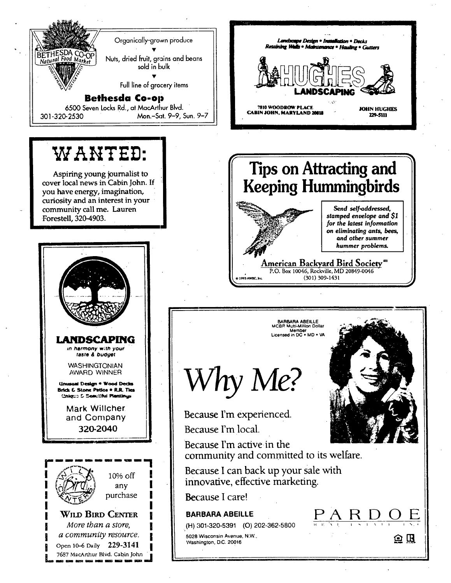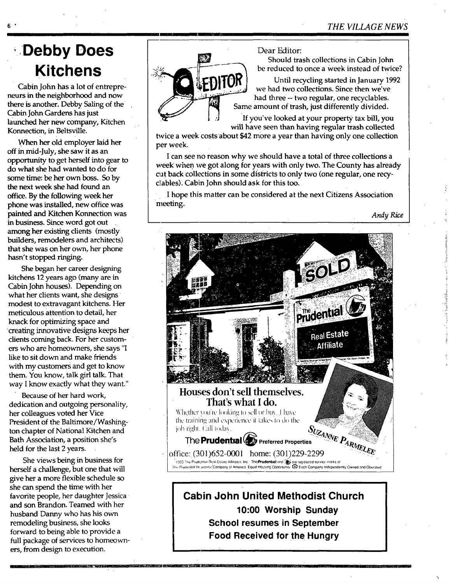### **,.Debby Does Kitchens**

Cabin John has a lot of entrepreneurs in the neighborhood and now there is another. Debby Saling of the Cabin John Gardens has just launched her new company, Kitchen Konnection, in Beltsville.

When her old employer laid her off inmid-July, she saw it as an opportunity to get herself into gear to do what she had wanted to do for some time: be her own boss. So by the next week she had found an office. By the following week her phone was installed, new office was painted and Kitchen Konnection was in business. Since word got out among her existing clients (mostly builders, remodelers and architects) that she was on her own, her phone hasn't stopped ringing.

She began her career designing kitchens 12 years ago (many are in Cabin John houses). Depending on what her clients want, she designs modest to extravagant kitchens. Her meticulous attention to detail, her knack for optimizing space and creating innovative designs keeps her clients coming back. For her customers who are homeowners, she says "I like to sit down and make friends with my customers and get to know them. You know, talk girl talk. That way I know exactly what they want."

Because of her hard work, dedication and outgoing personality, her colleagues voted her Vice President of the Baltimore/Washington chapter of National Kitchen and Bath Association, a position she's held for the last 2 years.

She views being in business for herself a challenge, but one that will give her a more flexible schedule so she can spend the time with her favorite people, her daughter Jessica , and son Brandon. Teamed with her husband Danny who has his own remodeling business, she looks forward to being able to provide a full package of services to homeowners, from design to execution.



#### Dear Editor:

Should trash collections in Cabin John

be reduced to once a week instead of twice?<br> $\begin{bmatrix} \mathbf{F} \mathbf{D} \mathbf{H} \mathbf{O} \mathbf{R} \end{bmatrix}$  be reduced to once a week instead of twice? Until recycling started in January 1992 we had two collections. Since then we've had three -- two regular, one recyclables. Same amount of trash, just differently divided.

> If you've looked at your property tax bill, you will have seen than having regular trash collected

twice a week costs about \$42 more a year than having only one collection per week.

I can see no reason why we should have a total of three collections a week' when we got along for years with only two. The County has already cut back collections in some districts to only two (one regular, one recyclables). Cabin John should ask for this too.

I hope this matter can be considered at the next Citizens Association meeting.

*Andy Rice* 



**Cabin John United Methodist Church 10:00 Worship Sunday School resumes in September Food Received for the Hungry**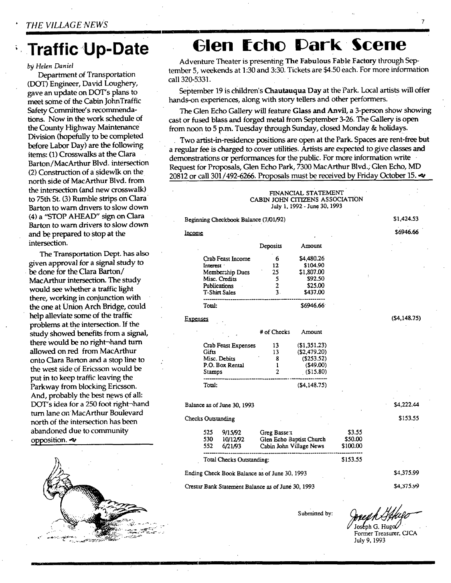### **Traffic Up-Date**

#### *by Helen Daniel*

Department of Transportation (DOT) Engineer, David Loughery, gave an update on DOT's plans to meet some of the Cabin JohnTraffic Safety Committee's recommendations. Now in the work schedule of the County Highway Maintenance Division (hopefully to be completed before Labor Day) are the following items: (1) Crosswalks at the Clara Barton/MacArthur Blvd. intersection (2) Construction of a sidewlk on the north side of MacArthur Blvd. from the intersection (and new crosswalk) to 75th St. (3) Rumble strips on Clara Barton to warn drivers to slow down (4) a "STOP AHEAD" sign on Clara Barton to warn drivers to slow down and be prepared to stop at the intersection.

The Transportation Dept. has also given approval for a signal study to be done for the Clara Barton/ MacArthur intersection. The study would see whether a traffic light there, working in conjunction with the one at Union Arch Bridge, could help alleviate some of the traffic problems at the intersection. If the study Showed benefits from a signal, there would be no right-hand turn allowed on red from MacArthur onto Clara Barton and a stop line to the west side of Ericsson would be put in to keep traffic leaving the Parkway from blocking Ericsson. And, probably the best news of all: DOT's idea for a 250 foot right-hand turn lane on MacArthur Boulevard north of the intersection has been abandoned due to community opposition. $\sim$ 



### **(31en tchc 13ark Scene**

Adventure Theater is presenting The Fabulous Fable Factory through September 5, weekends at 1:30 and 3:30. Tickets are \$4.50 each. For more information call 320-5331.

September 19 is children's Chautauqua Day at the Park. Local artists will offer hands-on experiences, along with story tellers and other performers.

The Glen Echo Gallery will feature **Glass and** Anvil, a 3-person show showing cast or fused blass and forged metal from September 3-26. The Gallery is open from noon to 5 p.m. Tuesday through Sunday, closed Monday & holidays.

Two artist-in-residence positions are open at the Park. Spaces are rent-free but a regular fee is charged to cover utilities. Artists are expected to give classes and demonstrations or performances for the public. For more information write Request for Proposals, Glen Echo Park, 7300 MacArthur Blvd.; Glen Echo, MD 20812 or call 301/492-6266. Proposals must be received by Friday October 15.  $\triangleleft$ 

> FINANCIAL STATEMENT CABIN JOHN CITIZENS ASSOCIATION July 1, 1992 - June 30, 1993

Deposits Amount

Beginning Checkbook Balance (7/01/92)

Income

\$1,424.53

\$6946.66

(\$4,148.75)

\$4,222.44 \$153.55

\$4,375.99 \$4,375.Y9

|          | Crab Feast Income   | 6           | \$4,480.26            |
|----------|---------------------|-------------|-----------------------|
|          | Interest            | 12          | \$104.90              |
|          | Membership Dues     | 25          | \$1,807.00            |
|          | Misc. Credits       | 5           | \$92.50               |
|          | <b>Publications</b> | 2           | \$25.00               |
|          | T-Shirt Sales       | 3.          | \$437.00              |
|          | Total:              |             | S6946.66 <sup>.</sup> |
|          |                     |             |                       |
| Expenses |                     |             |                       |
|          |                     | # of Checks | Amount                |
|          | Crab Feast Expenses | 13          | (\$1,351.23)          |
|          | Gifts               | 13          | (S2.479.20)           |
|          | Misc. Debits        | 8           | (5253.52)             |
|          | P.O. Box Rental     |             | (549.00)              |

Total: (\$4,148.75)

Balance as of June 30, 1993

Checks Outstanding

| 525 | 9/15/92                   | Greg Basse 1             | \$3.55   |
|-----|---------------------------|--------------------------|----------|
| 530 | 10/12/92                  | Glen Echo Baptist Church | \$50.00  |
| 552 | 6/21/93                   | Cabin John Village News  | \$100.00 |
|     | Total Checks Outstanding: |                          | \$153.55 |

Cresset Bank Statement Balance as of June 30, 1993

Submitted by:

Joseph G. Hugo<br>Former Treasurer, CJCA July 9, 1993